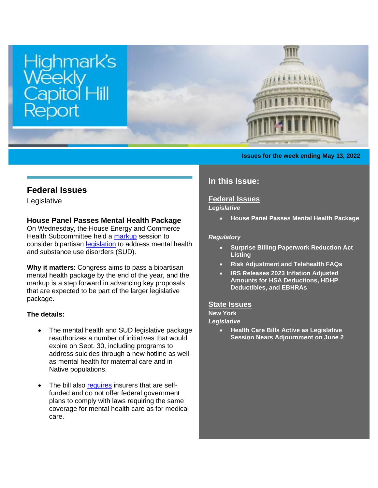

#### **Issues for the week ending May 13, 2022**

## **Federal Issues**

Legislative

### <span id="page-0-0"></span>**House Panel Passes Mental Health Package**

On Wednesday, the House Energy and Commerce Health Subcommittee held a [markup](https://energycommerce.house.gov/committee-activity/markups/markup-of-6-bills-subcommittee-on-health-may-11-2022) session to consider bipartisan [legislation](https://www.congress.gov/bill/117th-congress/house-bill/7666?q=%7B%22search%22%3A%5B%22h.r.+7666%22%2C%22h.r.%22%2C%227666%22%5D%7D&s=2&r=2) to address mental health and substance use disorders (SUD).

**Why it matters**: Congress aims to pass a bipartisan mental health package by the end of the year, and the markup is a step forward in advancing key proposals that are expected to be part of the larger legislative package.

#### **The details:**

- The mental health and SUD legislative package reauthorizes a number of initiatives that would expire on Sept. 30, including programs to address suicides through a new hotline as well as mental health for maternal care and in Native populations.
- The bill also [requires](https://www.congress.gov/bill/117th-congress/house-bill/7666/text?q=%7B%22search%22%3A%5B%22h.r.+7666%22%2C%22h.r.%22%2C%227666%22%5D%7D&r=2&s=2#toc-H062BE7C31D644813974921C782D19F9B) insurers that are selffunded and do not offer federal government plans to comply with laws requiring the same coverage for mental health care as for medical care.

# **In this Issue:**

# **[Federal Issues](http://images.bipac.net/Files/email/highmark/index.html#1)**

### *Legislative*

• **[House Panel Passes Mental Health Package](#page-0-0)**

#### *Regulatory*

- **[Surprise Billing Paperwork Reduction Act](#page-1-0)  [Listing](#page-1-0)**
- **[Risk Adjustment and Telehealth FAQs](#page-1-1)**
- **[IRS Releases 2023 Inflation Adjusted](#page-2-0)  Amounts for HSA [Deductions, HDHP](#page-2-0)  [Deductibles, and EBHRAs](#page-2-0)**

#### **[State Issues](http://images.bipac.net/Files/email/highmark/index.html#2)**

**New York**

- *Legislative*
	- **[Health Care Bills Active as Legislative](#page-2-1)  [Session Nears Adjournment on June 2](#page-2-1)**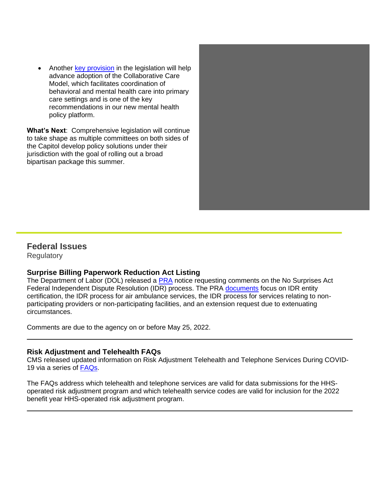• Another [key provision](https://www.congress.gov/bill/117th-congress/house-bill/7666/text?q=%7B%22search%22%3A%5B%22h.r.+7666%22%2C%22h.r.%22%2C%227666%22%5D%7D&r=2&s=2#toc-H51D4834D6CEB48F1923663139DB8CFB2) in the legislation will help advance adoption of the Collaborative Care Model, which facilitates coordination of behavioral and mental health care into primary care settings and is one of the key recommendations in our new mental health policy platform.

**What's Next**: Comprehensive legislation will continue to take shape as multiple committees on both sides of the Capitol develop policy solutions under their jurisdiction with the goal of rolling out a broad bipartisan package this summer.



## **Federal Issues**

**Regulatory** 

## <span id="page-1-0"></span>**Surprise Billing Paperwork Reduction Act Listing**

The Department of Labor (DOL) released a [PRA](https://www.govinfo.gov/content/pkg/FR-2022-04-25/pdf/2022-08684.pdf?utm_source=federalregister.gov&utm_medium=email&utm_campaign=subscription+mailing+list) notice requesting comments on the No Surprises Act Federal Independent Dispute Resolution (IDR) process. The PRA [documents](https://www.reginfo.gov/public/do/PRAViewRCF?ref_nbr=202204-0938-001CF) focus on IDR entity certification, the IDR process for air ambulance services, the IDR process for services relating to nonparticipating providers or non-participating facilities, and an extension request due to extenuating circumstances.

Comments are due to the agency on or before May 25, 2022.

## <span id="page-1-1"></span>**Risk Adjustment and Telehealth FAQs**

CMS released updated information on Risk Adjustment Telehealth and Telephone Services During COVID-19 via a series of [FAQs.](https://www.cms.gov/sites/default/files/2022-04/CCIIO%20RA%20Telehealth%20FAQ%202022_508_0.pdf)

The FAQs address which telehealth and telephone services are valid for data submissions for the HHSoperated risk adjustment program and which telehealth service codes are valid for inclusion for the 2022 benefit year HHS-operated risk adjustment program.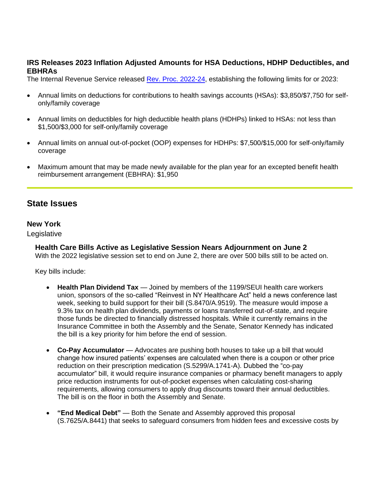#### <span id="page-2-0"></span>**IRS Releases 2023 Inflation Adjusted Amounts for HSA Deductions, HDHP Deductibles, and EBHRAs**

The Internal Revenue Service released [Rev. Proc. 2022-24,](https://www.irs.gov/pub/irs-drop/rp-22-24.pdf) establishing the following limits for or 2023:

- Annual limits on deductions for contributions to health savings accounts (HSAs): \$3,850/\$7,750 for selfonly/family coverage
- Annual limits on deductibles for high deductible health plans (HDHPs) linked to HSAs: not less than \$1,500/\$3,000 for self-only/family coverage
- Annual limits on annual out-of-pocket (OOP) expenses for HDHPs: \$7,500/\$15,000 for self-only/family coverage
- Maximum amount that may be made newly available for the plan year for an excepted benefit health reimbursement arrangement (EBHRA): \$1,950

# **State Issues**

### **New York**

Legislative

### <span id="page-2-1"></span>**Health Care Bills Active as Legislative Session Nears Adjournment on June 2**

With the 2022 legislative session set to end on June 2, there are over 500 bills still to be acted on.

Key bills include:

- **Health Plan Dividend Tax**  Joined by members of the 1199/SEUI health care workers union, sponsors of the so-called "Reinvest in NY Healthcare Act" held a news conference last week, seeking to build support for their bill (S.8470/A.9519). The measure would impose a 9.3% tax on health plan dividends, payments or loans transferred out-of-state, and require those funds be directed to financially distressed hospitals. While it currently remains in the Insurance Committee in both the Assembly and the Senate, Senator Kennedy has indicated the bill is a key priority for him before the end of session.
- **Co-Pay Accumulator** Advocates are pushing both houses to take up a bill that would change how insured patients' expenses are calculated when there is a coupon or other price reduction on their prescription medication (S.5299/A.1741-A). Dubbed the "co-pay accumulator" bill, it would require insurance companies or pharmacy benefit managers to apply price reduction instruments for out-of-pocket expenses when calculating cost-sharing requirements, allowing consumers to apply drug discounts toward their annual deductibles. The bill is on the floor in both the Assembly and Senate.
- **"End Medical Debt"**  Both the Senate and Assembly approved this proposal (S.7625/A.8441) that seeks to safeguard consumers from hidden fees and excessive costs by